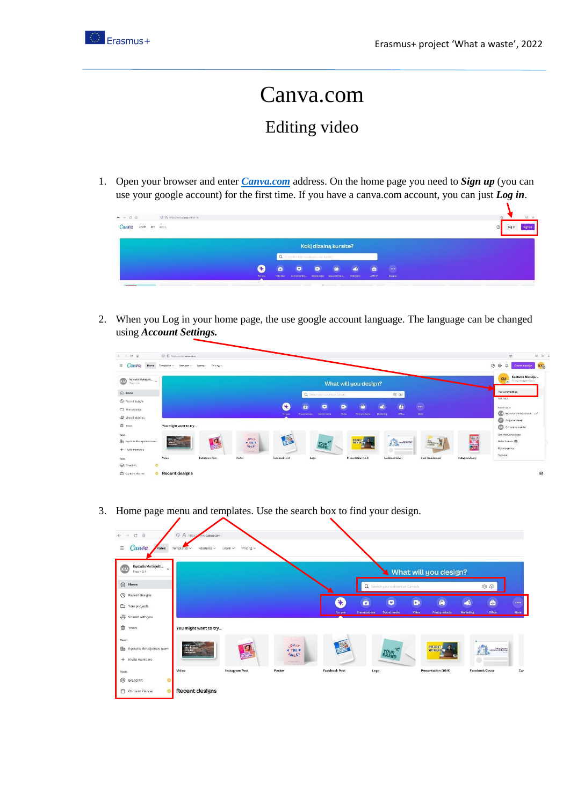

## Canva.com Editing video

1. Open your browser and enter *[Canva.com](https://www.canva.com/)* address. On the home page you need to *Sign up* (you can use your google account) for the first time. If you have a canva.com account, you can just *Log in*.



2. When you Log in your home page, the use google account language. The language can be changed using *Account Settings.*

| Canva                                                | О В перв//инитеативден<br>Home Templates > Features > Learn > Pricing > |                |                              |                      |                                  |                         |                                    |                  |                 | $\mathcal{O}$<br><b>⊙</b> » =<br>$O$ $\circledcirc$<br>$\Delta$<br>KIL<br>Create a design |
|------------------------------------------------------|-------------------------------------------------------------------------|----------------|------------------------------|----------------------|----------------------------------|-------------------------|------------------------------------|------------------|-----------------|-------------------------------------------------------------------------------------------|
| Kęstutis Motiejuiti $\sim$<br>$Proc - n \times$      |                                                                         |                |                              |                      |                                  | What will you design?   |                                    |                  |                 | Kęstutis Motieju<br>KM<br>motivate speed com                                              |
| (n) Home                                             |                                                                         |                |                              |                      | Q Search your content or Carva's |                         | 60                                 |                  |                 | Account settings                                                                          |
| <sup>1</sup> Recent designs                          |                                                                         |                |                              | Ø                    | $\bar{a}$<br>$\bullet$           | $\ddot{\bullet}$<br>D)  | $\bullet$<br>۵                     | a.               |                 | Get help                                                                                  |
| Your projects                                        |                                                                         |                |                              | For you              | Social media<br>Presentations    | Video<br>Print products | Marketing<br><b>Office</b>         | More             |                 | Switch team<br><b>CO</b> Kęstutis Motiejaitis's L.                                        |
| -B Shared with you                                   |                                                                         |                |                              |                      |                                  |                         |                                    |                  |                 | Auguste's team                                                                            |
| <b>B</b> trash                                       | You might want to try                                                   |                |                              |                      |                                  |                         |                                    |                  |                 | Ci Cintarè komanda                                                                        |
|                                                      |                                                                         |                | <b>SALES</b><br><b>OUNA</b>  | 学                    |                                  | ERESENT C               |                                    |                  |                 | Get the Carva Apps                                                                        |
| En Kęstutis Motiejuitis's team<br>$+$ invite members |                                                                         | 四国             | * THE *<br>5715              |                      | <b>YOUR</b>                      |                         | <b>Contract of Contract</b><br>A L | Bay<br>Something | 景               | Refer friends (<br>Privacy policy                                                         |
|                                                      | Video                                                                   | Instagram Post | <b>CARDO SERVI</b><br>Poster | <b>Facebook Post</b> | Logo                             | Presentation (16.9)     | Facebook Cover                     | Card (Landscape) | Instagram Story | Sign out                                                                                  |
| @ Brand Kit<br>ö                                     |                                                                         |                |                              |                      |                                  |                         |                                    |                  |                 |                                                                                           |

3. Home page menu and templates. Use the search box to find your design.

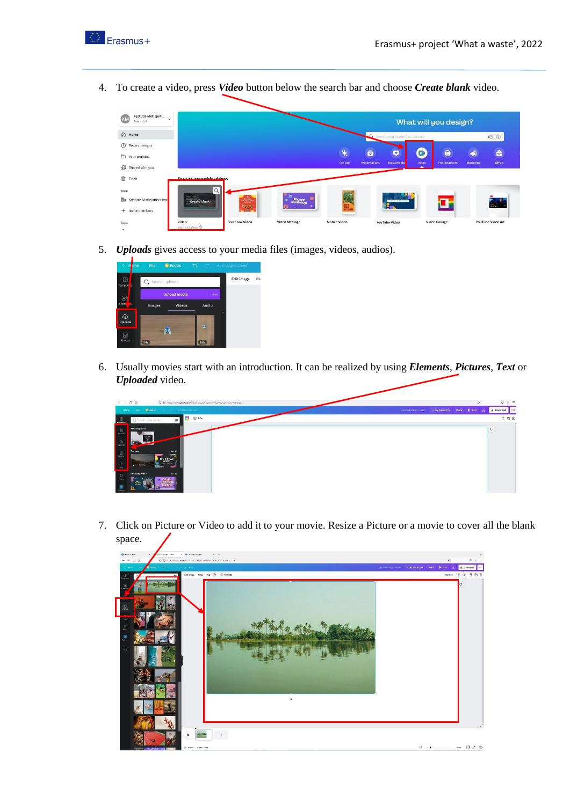

4. To create a video, press *Video* button below the search bar and choose *Create blank* video.

| Kęstutis Motiejuiti $\sim$<br>KM<br>Free $-84$ |                                                |                                                      |                      |                     | What will you design?            |                                   |            |                       |           |                  |  |
|------------------------------------------------|------------------------------------------------|------------------------------------------------------|----------------------|---------------------|----------------------------------|-----------------------------------|------------|-----------------------|-----------|------------------|--|
| $\Omega$<br>Home                               |                                                |                                                      |                      |                     | C Search your content or Canva's |                                   |            |                       |           | 66               |  |
| $\circledcirc$<br>Recent designs               |                                                |                                                      |                      | <b>RA</b>           | $\bar{\mathbf{o}}$               | $\bullet$                         | D          | $\Theta$              | ھ         | ô                |  |
| $\Box$<br>Your projects<br>+23 Shared with you |                                                |                                                      |                      | For you             | Presentations                    | Social media                      | Video<br>× | <b>Print products</b> | Marketing | <b>Office</b>    |  |
| 面<br>Trash                                     | <b>Easy-to-assemble videos</b>                 |                                                      |                      |                     |                                  |                                   |            |                       |           |                  |  |
| Team                                           | $\alpha$                                       |                                                      |                      |                     |                                  |                                   |            |                       |           |                  |  |
| b<br>Kęstutis Motiejuitis's tear               | Create blank                                   | $\frac{\Psi(\mathbf{r},\mathbf{y})}{\ \mathbf{r}\ }$ | lappy                |                     | 표조                               | <b>ASSAULTER AS WAREN ARRANGE</b> |            |                       |           | $=$ $-$          |  |
| Invite members<br>$+$                          |                                                |                                                      |                      |                     |                                  |                                   |            | <b>Street</b>         |           |                  |  |
| Tools                                          | Video<br>$P_{\text{max}}$ and $P_{\text{max}}$ | <b>Facebook Video</b>                                | <b>Video Message</b> | <b>Mobile Video</b> | YouTube Video                    |                                   |            | <b>Video Collage</b>  |           | YouTube Video Ad |  |

5. *Uploads* gives access to your media files (images, videos, audios).



6. Usually movies start with an introduction. It can be realized by using *Elements*, *Pictures*, *Text* or *Uploaded* video.

|                                                                                                                             | $\begin{array}{ccccc}\n&\circ&\circ&\circ&\circ\end{array}$                                   | O E https://www.carw.com/design/JAa3pd12A4/PwjU26bUGw1e1gr-GBq/edit- |       | $\dot{\mathbb{C}}$ | $\begin{array}{rcl} \mbox{\large $\cup$} & \mbox{\large $\times$} & \mbox{\large $\equiv$} \end{array}$ |
|-----------------------------------------------------------------------------------------------------------------------------|-----------------------------------------------------------------------------------------------|----------------------------------------------------------------------|-------|--------------------|---------------------------------------------------------------------------------------------------------|
| Home                                                                                                                        | <b>B</b> Resize<br>File<br><b>CONTRACTOR</b> All changes served                               | Untitled design - Video<br>* Try Canva Pro                           | Share | b tos di           | $+$ Download $-$                                                                                        |
| $\mathbb{H}$<br>heights                                                                                                     | O RDs<br>$\equiv$<br>Q Search 1080p templates                                                 |                                                                      |       |                    | 计后音                                                                                                     |
| $\substack{0.6\\10\\ \text{therm/s}}$<br>$\bigoplus\limits_{\text{Upionth}}$<br>$\overline{\mathbb{S}^2}$<br>$\tau$<br>Test | Recently used<br>47<br>Foryou<br>Servill<br><b>WOOD</b><br>THE REVELK<br>$\frac{1}{\sqrt{2}}$ |                                                                      |       |                    | $_{\circ}$                                                                                              |
| $\mathcal{S}^1$<br><b>Judio</b><br>$\frac{1}{5}$                                                                            | Dirthday Video<br>Social<br><b>POTTER</b><br>u.                                               |                                                                      |       |                    |                                                                                                         |

7. Click on Picture or Video to add it to your movie. Resize a Picture or a movie to cover all the blank space.

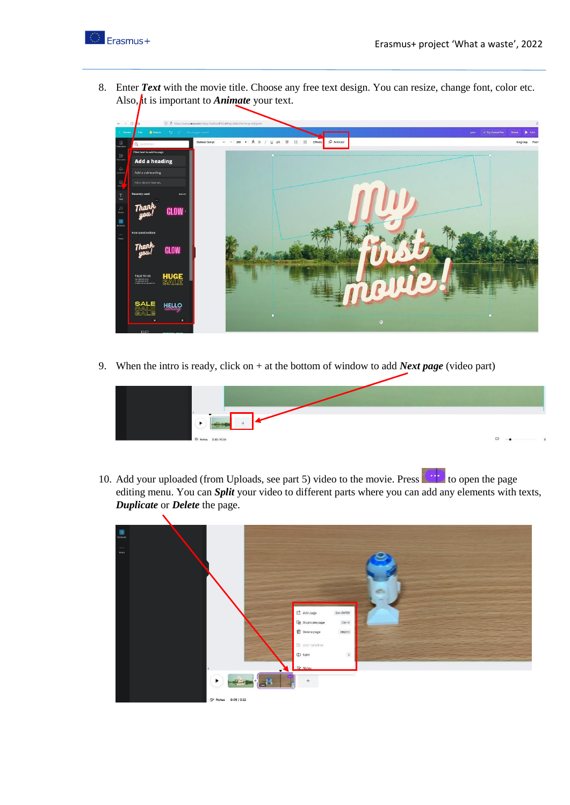

8. Enter *Text* with the movie title. Choose any free text design. You can resize, change font, color etc. Also,  $\oint$ t is important to *Animate* your text.



9. When the intro is ready, click on + at the bottom of window to add *Next page* (video part)



10. Add your uploaded (from Uploads, see part 5) video to the movie. Press to be open the page editing menu. You can *Split* your video to different parts where you can add any elements with texts, *Duplicate* or *Delete* the page.